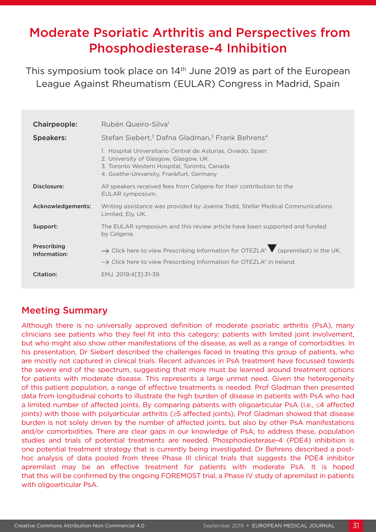# Moderate Psoriatic Arthritis and Perspectives from Phosphodiesterase-4 Inhibition

This symposium took place on 14<sup>th</sup> June 2019 as part of the European League Against Rheumatism (EULAR) Congress in Madrid, Spain

| Chairpeople:                | Rubén Queiro-Silva <sup>1</sup>                                                                                                                                                                   |
|-----------------------------|---------------------------------------------------------------------------------------------------------------------------------------------------------------------------------------------------|
| <b>Speakers:</b>            | Stefan Siebert, <sup>2</sup> Dafna Gladman, <sup>3</sup> Frank Behrens <sup>4</sup>                                                                                                               |
|                             | 1. Hospital Universitario Central de Asturias, Oviedo, Spain<br>2. University of Glasgow, Glasgow, UK<br>3. Toronto Western Hospital, Toronto, Canada<br>4. Goethe-University, Frankfurt, Germany |
| Disclosure:                 | All speakers received fees from Celgene for their contribution to the<br>EULAR symposium.                                                                                                         |
| Acknowledgements:           | Writing assistance was provided by Joanna Todd, Stellar Medical Communications<br>Limited, Ely, UK.                                                                                               |
| Support:                    | The EULAR symposium and this review article have been supported and funded<br>by Celgene.                                                                                                         |
| Prescribing<br>Information: | > Click here to view Prescribing Information for OTEZLA® (apremilast) in the UK.<br>$\rightarrow$ Click here to view Prescribing Information for OTEZLA® in Ireland.                              |
| Citation:                   | EMJ. 2019;4[3]:31-39.                                                                                                                                                                             |

# Meeting Summary

Although there is no universally approved definition of moderate psoriatic arthritis (PsA), many clinicians see patients who they feel fit into this category: patients with limited joint involvement, but who might also show other manifestations of the disease, as well as a range of comorbidities. In his presentation, Dr Siebert described the challenges faced in treating this group of patients, who are mostly not captured in clinical trials. Recent advances in PsA treatment have focussed towards the severe end of the spectrum, suggesting that more must be learned around treatment options for patients with moderate disease. This represents a large unmet need. Given the heterogeneity of this patient population, a range of effective treatments is needed. Prof Gladman then presented data from longitudinal cohorts to illustrate the high burden of disease in patients with PsA who had a limited number of affected joints. By comparing patients with oligoarticular PsA (i.e., ≤4 affected joints) with those with polyarticular arthritis (≥5 affected joints), Prof Gladman showed that disease burden is not solely driven by the number of affected joints, but also by other PsA manifestations and/or comorbidities. There are clear gaps in our knowledge of PsA; to address these, population studies and trials of potential treatments are needed. Phosphodiesterase-4 (PDE4) inhibition is one potential treatment strategy that is currently being investigated. Dr Behrens described a posthoc analysis of data pooled from three Phase III clinical trials that suggests the PDE4 inhibitor apremilast may be an effective treatment for patients with moderate PsA. It is hoped that this will be confirmed by the ongoing FOREMOST trial, a Phase IV study of apremilast in patients with oligoarticular PsA.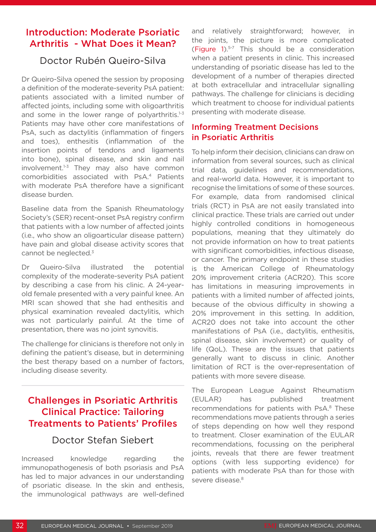### Introduction: Moderate Psoriatic Arthritis - What Does it Mean?

### Doctor Rubén Queiro-Silva

Dr Queiro-Silva opened the session by proposing a definition of the moderate-severity PsA patient: patients associated with a limited number of affected joints, including some with oligoarthritis and some in the lower range of polyarthritis.<sup>1-3</sup> Patients may have other core manifestations of PsA, such as dactylitis (inflammation of fingers and toes), enthesitis (inflammation of the insertion points of tendons and ligaments into bone), spinal disease, and skin and nail  $involvement.<sup>1-3</sup>$  They may also have common comorbidities associated with PsA.4 Patients with moderate PsA therefore have a significant disease burden.

Baseline data from the Spanish Rheumatology Society's (SER) recent-onset PsA registry confirm that patients with a low number of affected joints (i.e., who show an oligoarticular disease pattern) have pain and global disease activity scores that cannot be neglected.<sup>3</sup>

Dr Queiro-Silva illustrated the potential complexity of the moderate-severity PsA patient by describing a case from his clinic. A 24-yearold female presented with a very painful knee. An MRI scan showed that she had enthesitis and physical examination revealed dactylitis, which was not particularly painful. At the time of presentation, there was no joint synovitis.

The challenge for clinicians is therefore not only in defining the patient's disease, but in determining the best therapy based on a number of factors, including disease severity.

### Challenges in Psoriatic Arthritis Clinical Practice: Tailoring Treatments to Patients' Profiles

### Doctor Stefan Siebert

Increased knowledge regarding the immunopathogenesis of both psoriasis and PsA has led to major advances in our understanding of psoriatic disease. In the skin and enthesis, the immunological pathways are well-defined and relatively straightforward; however, in the joints, the picture is more complicated (Figure 1).5-7 This should be a consideration when a patient presents in clinic. This increased understanding of psoriatic disease has led to the development of a number of therapies directed at both extracellular and intracellular signalling pathways. The challenge for clinicians is deciding which treatment to choose for individual patients presenting with moderate disease.

### Informing Treatment Decisions in Psoriatic Arthritis

To help inform their decision, clinicians can draw on information from several sources, such as clinical trial data, guidelines and recommendations, and real-world data. However, it is important to recognise the limitations of some of these sources. For example, data from randomised clinical trials (RCT) in PsA are not easily translated into clinical practice. These trials are carried out under highly controlled conditions in homogeneous populations, meaning that they ultimately do not provide information on how to treat patients with significant comorbidities, infectious disease, or cancer. The primary endpoint in these studies is the American College of Rheumatology 20% improvement criteria (ACR20). This score has limitations in measuring improvements in patients with a limited number of affected joints, because of the obvious difficulty in showing a 20% improvement in this setting. In addition, ACR20 does not take into account the other manifestations of PsA (i.e., dactylitis, enthesitis, spinal disease, skin involvement) or quality of life (QoL). These are the issues that patients generally want to discuss in clinic. Another limitation of RCT is the over-representation of patients with more severe disease.

The European League Against Rheumatism (EULAR) has published treatment recommendations for patients with PsA.<sup>8</sup> These recommendations move patients through a series of steps depending on how well they respond to treatment. Closer examination of the EULAR recommendations, focussing on the peripheral joints, reveals that there are fewer treatment options (with less supporting evidence) for patients with moderate PsA than for those with severe disease.<sup>8</sup>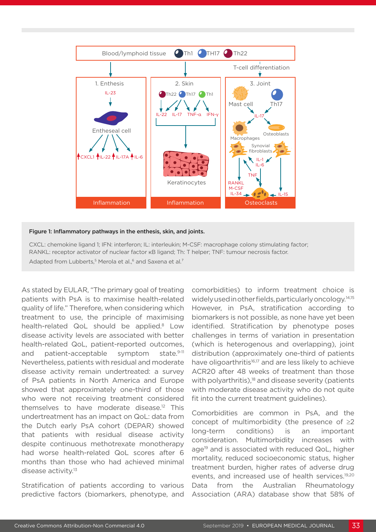

#### Figure 1: Inflammatory pathways in the enthesis, skin, and joints.

CXCL: chemokine ligand 1; IFN: interferon; IL: interleukin; M-CSF: macrophage colony stimulating factor; RANKL: receptor activator of nuclear factor κΒ ligand; Th: T helper; TNF: tumour necrosis factor. Adapted from Lubberts,<sup>5</sup> Merola et al.,<sup>6</sup> and Saxena et al.<sup>7</sup>

As stated by EULAR, "The primary goal of treating patients with PsA is to maximise health-related quality of life." Therefore, when considering which treatment to use, the principle of maximising health-related QoL should be applied.<sup>8</sup> Low disease activity levels are associated with better health-related QoL, patient-reported outcomes, and patient-acceptable symptom state.9-11 Nevertheless, patients with residual and moderate disease activity remain undertreated: a survey of PsA patients in North America and Europe showed that approximately one-third of those who were not receiving treatment considered themselves to have moderate disease.12 This undertreatment has an impact on QoL: data from the Dutch early PsA cohort (DEPAR) showed that patients with residual disease activity despite continuous methotrexate monotherapy had worse health-related QoL scores after 6 months than those who had achieved minimal disease activity.13

Stratification of patients according to various predictive factors (biomarkers, phenotype, and

comorbidities) to inform treatment choice is widely used in other fields, particularly oncology.<sup>14,15</sup> However, in PsA, stratification according to biomarkers is not possible, as none have yet been identified. Stratification by phenotype poses challenges in terms of variation in presentation (which is heterogenous and overlapping), joint distribution (approximately one-third of patients have oligoarthritis<sup>16,17</sup> and are less likely to achieve ACR20 after 48 weeks of treatment than those with polyarthritis),<sup>18</sup> and disease severity (patients with moderate disease activity who do not quite fit into the current treatment guidelines).

Comorbidities are common in PsA, and the concept of multimorbidity (the presence of ≥2 long-term conditions) is an important consideration. Multimorbidity increases with age<sup>19</sup> and is associated with reduced QoL, higher mortality, reduced socioeconomic status, higher treatment burden, higher rates of adverse drug events, and increased use of health services.<sup>19,20</sup> Data from the Australian Rheumatology Association (ARA) database show that 58% of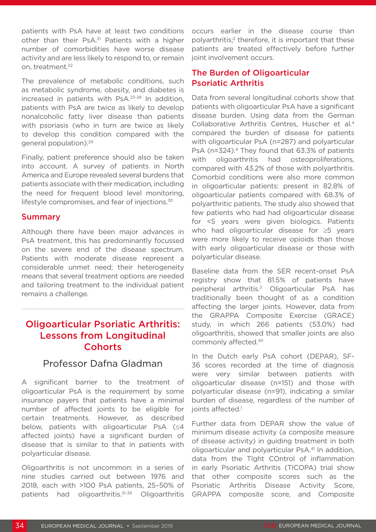patients with PsA have at least two conditions other than their PsA.<sup>21</sup> Patients with a higher number of comorbidities have worse disease activity and are less likely to respond to, or remain on, treatment.22

The prevalence of metabolic conditions, such as metabolic syndrome, obesity, and diabetes is increased in patients with PsA.23-28 In addition, patients with PsA are twice as likely to develop nonalcoholic fatty liver disease than patients with psoriasis (who in turn are twice as likely to develop this condition compared with the general population).29

Finally, patient preference should also be taken into account. A survey of patients in North America and Europe revealed several burdens that patients associate with their medication, including the need for frequent blood level monitoring, lifestyle compromises, and fear of injections.<sup>30</sup>

#### Summary

Although there have been major advances in PsA treatment, this has predominantly focussed on the severe end of the disease spectrum. Patients with moderate disease represent a considerable unmet need; their heterogeneity means that several treatment options are needed and tailoring treatment to the individual patient remains a challenge.

# Oligoarticular Psoriatic Arthritis: Lessons from Longitudinal **Cohorts**

### Professor Dafna Gladman

A significant barrier to the treatment of oligoarticular PsA is the requirement by some insurance payers that patients have a minimal number of affected joints to be eligible for certain treatments. However, as described below, patients with oligoarticular PsA (≤4 affected joints) have a significant burden of disease that is similar to that in patients with polyarticular disease.

Oligoarthritis is not uncommon: in a series of nine studies carried out between 1976 and 2018, each with >100 PsA patients, 25–50% of patients had oligoarthritis.<sup>31-39</sup> Oligoarthritis

occurs earlier in the disease course than polyarthritis;<sup>2</sup> therefore, it is important that these patients are treated effectively before further joint involvement occurs.

#### The Burden of Oligoarticular Psoriatic Arthritis

Data from several longitudinal cohorts show that patients with oligoarticular PsA have a significant disease burden. Using data from the German Collaborative Arthritis Centres, Huscher et al.<sup>4</sup> compared the burden of disease for patients with oligoarticular PsA (n=287) and polyarticular PsA (n=324).<sup>4</sup> They found that 63.3% of patients with oligoarthritis had osteoproliferations, compared with 43.2% of those with polyarthritis. Comorbid conditions were also more common in oligoarticular patients: present in 82.8% of oligoarticular patients compared with 68.3% of polyarthritic patients. The study also showed that few patients who had had oligoarticular disease for <5 years were given biologics. Patients who had oligoarticular disease for ≥5 years were more likely to receive opioids than those with early oligoarticular disease or those with polyarticular disease.

Baseline data from the SER recent-onset PsA registry show that 81.5% of patients have peripheral arthritis.3 Oligoarticular PsA has traditionally been thought of as a condition affecting the larger joints. However, data from the GRAPPA Composite Exercise (GRACE) study, in which 266 patients (53.0%) had oligoarthritis, showed that smaller joints are also commonly affected.40

In the Dutch early PsA cohort (DEPAR), SF-36 scores recorded at the time of diagnosis were very similar between patients with oligoarticular disease (n=151) and those with polyarticular disease (n=91), indicating a similar burden of disease, regardless of the number of ioints affected.<sup>1</sup>

Further data from DEPAR show the value of minimum disease activity (a composite measure of disease activity) in guiding treatment in both oligoarticular and polyarticular PsA.41 In addition, data from the TIght COntrol of inflammation in early Psoriatic Arthritis (TICOPA) trial show that other composite scores such as the Psoriatic Arthritis Disease Activity Score, GRAPPA composite score, and Composite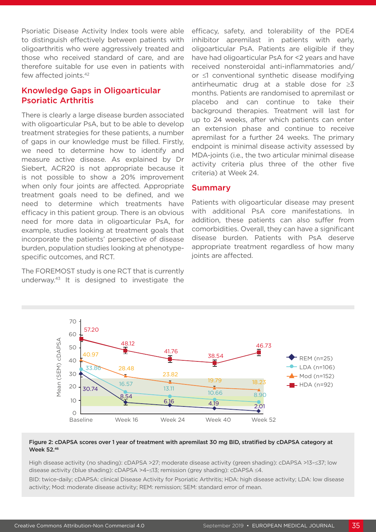Psoriatic Disease Activity Index tools were able to distinguish effectively between patients with oligoarthritis who were aggressively treated and those who received standard of care, and are therefore suitable for use even in patients with few affected joints.<sup>42</sup>

### Knowledge Gaps in Oligoarticular Psoriatic Arthritis

There is clearly a large disease burden associated with oligoarticular PsA, but to be able to develop treatment strategies for these patients, a number of gaps in our knowledge must be filled. Firstly, we need to determine how to identify and measure active disease. As explained by Dr Siebert, ACR20 is not appropriate because it is not possible to show a 20% improvement when only four joints are affected. Appropriate treatment goals need to be defined, and we need to determine which treatments have efficacy in this patient group. There is an obvious need for more data in oligoarticular PsA, for example, studies looking at treatment goals that incorporate the patients' perspective of disease burden, population studies looking at phenotypespecific outcomes, and RCT.

The FOREMOST study is one RCT that is currently underway.43 It is designed to investigate the

efficacy, safety, and tolerability of the PDE4 inhibitor apremilast in patients with early, oligoarticular PsA. Patients are eligible if they have had oligoarticular PsA for <2 years and have received nonsteroidal anti-inflammatories and/ or ≤1 conventional synthetic disease modifying antirheumatic drug at a stable dose for ≥3 months. Patients are randomised to apremilast or placebo and can continue to take their background therapies. Treatment will last for up to 24 weeks, after which patients can enter an extension phase and continue to receive apremilast for a further 24 weeks. The primary endpoint is minimal disease activity assessed by MDA-joints (i.e., the two articular minimal disease activity criteria plus three of the other five criteria) at Week 24.

#### Summary

Patients with oligoarticular disease may present with additional PsA core manifestations. In addition, these patients can also suffer from comorbidities. Overall, they can have a significant disease burden. Patients with PsA deserve appropriate treatment regardless of how many joints are affected.



#### Figure 2: cDAPSA scores over 1 year of treatment with apremilast 30 mg BID, stratified by cDAPSA category at Week 52.46

High disease activity (no shading): cDAPSA >27; moderate disease activity (green shading): cDAPSA >13–≤37; low disease activity (blue shading): cDAPSA >4–≤13; remission (grey shading): cDAPSA ≤4.

BID: twice-daily; cDAPSA: clinical Disease Activity for Psoriatic Arthritis; HDA: high disease activity; LDA: low disease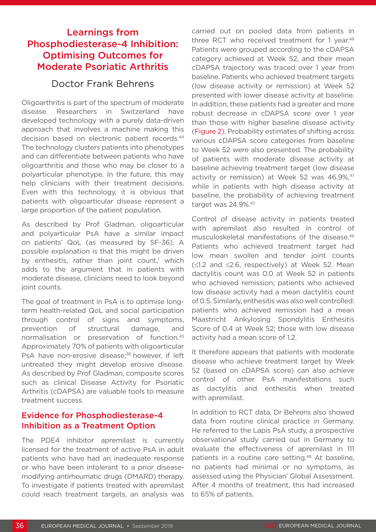# Learnings from Phosphodiesterase-4 Inhibition: Optimising Outcomes for Moderate Psoriatic Arthritis

### Doctor Frank Behrens

Oligoarthritis is part of the spectrum of moderate disease. Researchers in Switzerland have developed technology with a purely data-driven approach that involves a machine making this decision based on electronic patient records.<sup>44</sup> The technology clusters patients into phenotypes and can differentiate between patients who have oligoarthritis and those who may be closer to a polyarticular phenotype. In the future, this may help clinicians with their treatment decisions. Even with this technology, it is obvious that patients with oligoarticular disease represent a large proportion of the patient population.

As described by Prof Gladman, oligoarticular and polyarticular PsA have a similar impact on patients' QoL (as measured by SF-36). A possible explanation is that this might be driven by enthesitis, rather than joint count,<sup>1</sup> which adds to the argument that in patients with moderate disease, clinicians need to look beyond joint counts.

The goal of treatment in PsA is to optimise longterm health-related QoL and social participation through control of signs and symptoms, prevention of structural damage, and normalisation or preservation of function.45 Approximately 70% of patients with oligoarticular PsA have non-erosive disease;<sup>38</sup> however, if left untreated they might develop erosive disease. As described by Prof Gladman, composite scores such as clinical Disease Activity for Psoriatic Arthritis (cDAPSA) are valuable tools to measure treatment success.

### Evidence for Phosphodiesterase-4 Inhibition as a Treatment Option

The PDE4 inhibitor apremilast is currently licensed for the treatment of active PsA in adult patients who have had an inadequate response or who have been intolerant to a prior diseasemodifying antirheumatic drugs (DMARD) therapy. To investigate if patients treated with apremilast could reach treatment targets, an analysis was

carried out on pooled data from patients in three RCT who received treatment for 1 year.<sup>46</sup> Patients were grouped according to the cDAPSA category achieved at Week 52, and their mean cDAPSA trajectory was traced over 1 year from baseline. Patients who achieved treatment targets (low disease activity or remission) at Week 52 presented with lower disease activity at baseline. In addition, these patients had a greater and more robust decrease in cDAPSA score over 1 year than those with higher baseline disease activity (Figure 2). Probability estimates of shifting across various cDAPSA score categories from baseline to Week 52 were also presented. The probability of patients with moderate disease activity at baseline achieving treatment target (low disease activity or remission) at Week 52 was 46.9%.<sup>47</sup> while in patients with high disease activity at baseline, the probability of achieving treatment target was 24.9%.<sup>47</sup>

Control of disease activity in patients treated with apremilast also resulted in control of musculoskeletal manifestations of the disease.46 Patients who achieved treatment target had low mean swollen and tender joint counts (≤1.2 and ≤2.6, respectively) at Week 52. Mean dactylitis count was 0.0 at Week 52 in patients who achieved remission; patients who achieved low disease activity had a mean dactylitis count of 0.5. Similarly, enthesitis was also well controlled: patients who achieved remission had a mean Maastricht Ankylosing Spondylitis Enthesitis Score of 0.4 at Week 52; those with low disease activity had a mean score of 1.2.

It therefore appears that patients with moderate disease who achieve treatment target by Week 52 (based on cDAPSA score) can also achieve control of other PsA manifestations such as dactylitis and enthesitis when treated with apremilast.

In addition to RCT data, Dr Behrens also showed data from routine clinical practice in Germany. He referred to the Lapis PsA study, a prospective observational study carried out in Germany to evaluate the effectiveness of apremilast in 111 patients in a routine care setting.<sup>48</sup> At baseline, no patients had minimal or no symptoms, as assessed using the Physician' Global Assessment. After 4 months of treatment, this had increased to 65% of patients.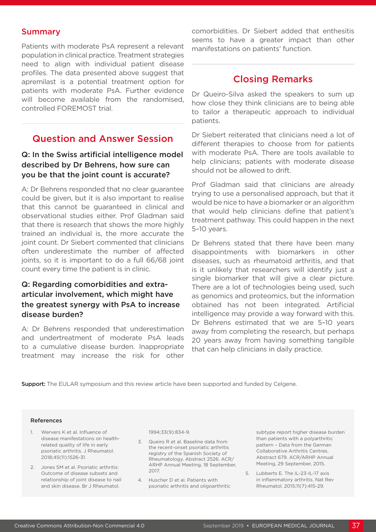#### Summary

Patients with moderate PsA represent a relevant population in clinical practice. Treatment strategies need to align with individual patient disease profiles. The data presented above suggest that apremilast is a potential treatment option for patients with moderate PsA. Further evidence will become available from the randomised. controlled FOREMOST trial.

### Question and Answer Session

#### Q: In the Swiss artificial intelligence model described by Dr Behrens, how sure can you be that the joint count is accurate?

A: Dr Behrens responded that no clear guarantee could be given, but it is also important to realise that this cannot be guaranteed in clinical and observational studies either. Prof Gladman said that there is research that shows the more highly trained an individual is, the more accurate the joint count. Dr Siebert commented that clinicians often underestimate the number of affected joints, so it is important to do a full 66/68 joint count every time the patient is in clinic.

#### Q: Regarding comorbidities and extraarticular involvement, which might have the greatest synergy with PsA to increase disease burden?

A: Dr Behrens responded that underestimation and undertreatment of moderate PsA leads to a cumulative disease burden. Inappropriate treatment may increase the risk for other comorbidities. Dr Siebert added that enthesitis seems to have a greater impact than other manifestations on patients' function.

#### Closing Remarks

Dr Queiro-Silva asked the speakers to sum up how close they think clinicians are to being able to tailor a therapeutic approach to individual patients.

Dr Siebert reiterated that clinicians need a lot of different therapies to choose from for patients with moderate PsA. There are tools available to help clinicians; patients with moderate disease should not be allowed to drift.

Prof Gladman said that clinicians are already trying to use a personalised approach, but that it would be nice to have a biomarker or an algorithm that would help clinicians define that patient's treatment pathway. This could happen in the next 5–10 years.

Dr Behrens stated that there have been many disappointments with biomarkers in other diseases, such as rheumatoid arthritis, and that is it unlikely that researchers will identify just a single biomarker that will give a clear picture. There are a lot of technologies being used, such as genomics and proteomics, but the information obtained has not been integrated. Artificial intelligence may provide a way forward with this. Dr Behrens estimated that we are 5–10 years away from completing the research, but perhaps 20 years away from having something tangible that can help clinicians in daily practice.

**Support:** The EULAR symposium and this review article have been supported and funded by Celgene.

#### References

- 1. Wervers K et al. Influence of disease manifestations on healthrelated quality of life in early psoriatic arthritis. J Rheumatol. 2018;45(11):1526-31.
- 2. Jones SM et al. Psoriatic arthritis: Outcome of disease subsets and relationship of joint disease to nail and skin disease. Br J Rheumatol.

1994;33(9):834-9.

- 3. Queiro R et al. Baseline data from the recent-onset psoriatic arthritis registry of the Spanish Society of Rheumatology. Abstract 2526. ACR/ ARHP Annual Meeting, 18 September, 2017.
- 4. Huscher D et al. Patients with psoriatic arthritis and oligoarthritic

subtype report higher disease burden than patients with a polyarthritic pattern – Data from the German Collaborative Arthritis Centres. Abstract 679. ACR/ARHP Annual Meeting, 29 September, 2015.

5. Lubberts E. The IL-23-IL-17 axis in inflammatory arthritis. Nat Rev Rheumatol. 2015;11(7):415-29.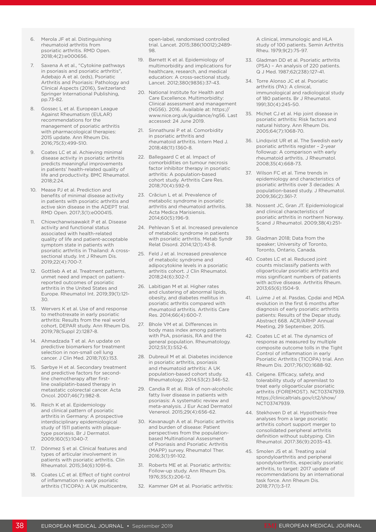- 6. Merola JF et al. Distinguishing rheumatoid arthritis from psoriatic arthritis. RMD Open. 2018;4(2):e000656.
- 7. Saxena A et al., "Cytokine pathways in psoriasis and psoriatic arthritis", Adebajo A et al. (eds), Psoriatic Arthritis and Psoriasis: Pathology and Clinical Aspects (2016), Switzerland: Springer International Publishing, pp.73-82.
- 8. Gossec L et al. European League Against Rheumatism (EULAR) recommendations for the management of psoriatic arthritis with pharmacological therapies: 2015 update. Ann Rheum Dis. 2016;75(3):499-510.
- Coates LC et al. Achieving minimal disease activity in psoriatic arthritis predicts meaningful improvements in patients' health-related quality of life and productivity. BMC Rheumatol. 2018;2:24.
- 10. Mease PJ et al. Prediction and benefits of minimal disease activity in patients with psoriatic arthritis and active skin disease in the ADEPT trial. RMD Open. 2017;3(1):e000415.
- 11. Chiowchanwisawakit P et al. Disease activity and functional status associated with health-related quality of life and patient-acceptable symptom state in patients with psoriatic arthritis in Thailand: A crosssectional study. Int J Rheum Dis. 2019;22(4):700-7.
- 12. Gottlieb A et al. Treatment patterns, unmet need and impact on patientreported outcomes of psoriatic arthritis in the United States and Europe. Rheumatol Int. 2019;39(1):121- 30.
- 13. Wervers K et al. Use of and response to methotrexate in early psoriatic arthritis: Results from the real world cohort, DEPAR study. Ann Rheum Dis. 2019;78(Suppl 2):1287-8.
- 14. Ahmadzada T et al. An update on predictive biomarkers for treatment selection in non-small cell lung cancer. J Clin Med. 2018;7(6):153.
- 15. Sørbye H et al. Secondary treatment and predictive factors for secondline chemotherapy after firstline oxaliplatin-based therapy in metastatic colorectal cancer. Acta Oncol. 2007;46(7):982-8.
- 16. Reich K et al. Epidemiology and clinical pattern of psoriatic arthritis in Germany: A prospective interdisciplinary epidemiological study of 1511 patients with plaquetype psoriasis. Br J Dermatol. 2009;160(5):1040-7.
- 17. Dönmez S et al. Clinical features and types of articular involvement in patients with psoriatic arthritis. Clin Rheumatol. 2015;34(6):1091-6.
- 18. Coates LC et al. Effect of tight control of inflammation in early psoriatic arthritis (TICOPA): A UK multicentre,

open-label, randomised controlled trial. Lancet. 2015;386(10012);2489- 98.

- 19. Barnett K et al. Epidemiology of multimorbidity and implications for healthcare, research, and medical education: A cross-sectional study. Lancet. 2012;380(9836):37-43.
- 20. National Institute for Health and Care Excellence. Multimorbidity: Clinical assessment and management (NG56). 2016. Available at: https:// www.nice.org.uk/guidance/ng56. Last accessed: 24 June 2019.
- 21. Sinnathurai P et al. Comorbidity in psoriatic arthritis and rheumatoid arthritis. Intern Med J. 2018;48(11):1360-8.
- 22. Ballegaard C et al. Impact of comorbidities on tumour necrosis factor inhibitor therapy in psoriatic arthritis: A population-based cohort study. Arthritis Care Res. 2018;70(4):592-9.
- 23. Crăciun L et al. Prevalence of metabolic syndrome in psoriatic arthritis and rheumatoid arthritis. Acta Medica Marisiensis. 2014;60(5):196-9.
- 24. Pehlevan S et al. Increased prevalence of metabolic syndrome in patients with psoriatic arthritis. Metab Syndr Relat Disord. 2014;12(1):43-8.
- 25. Feld J et al. Increased prevalence of metabolic syndrome and adipocytokine levels in a psoriatic arthritis cohort. J Clin Rheumatol. 2018;24(6):302-7.
- 26. Labitigan M et al. Higher rates and clustering of abnormal lipids, obesity, and diabetes mellitus in psoriatic arthritis compared with rheumatoid arthritis. Arthritis Care Res. 2014;66(4):600-7.
- 27. Bhole VM et al. Differences in body mass index among patients with PsA, psoriasis, RA and the general population. Rheumatology. 2012;51(3):552-6.
- 28. Dubreuil M et al. Diabetes incidence in psoriatic arthritis, psoriasis and rheumatoid arthritis: A UK population-based cohort study. Rheumatology. 2014;53(2):346-52.
- 29. Candia R et al. Risk of non-alcoholic fatty liver disease in patients with psoriasis: A systematic review and meta-analysis. J Eur Acad Dermatol Venereol. 2015;29(4):656-62.
- 30. Kavanaugh A et al. Psoriatic arthritis and burden of disease: Patient perspectives from the populationbased Multinational Assessment of Psoriasis and Psoriatic Arthritis (MAPP) survey. Rheumatol Ther. 2016;3(1):91-102.
- 31. Roberts ME et al. Psoriatic arthritis: Follow-up study. Ann Rheum Dis. 1976;35(3):206-12.
- 32. Kammer GM et al. Psoriatic arthritis:

A clinical, immunologic and HLA study of 100 patients. Semin Arthritis Rheu. 1979;9(2):75-97.

- 33. Gladman DD et al. Psoriatic arthritis (PSA) – An analysis of 220 patients. Q J Med. 1987;62(238):127-41.
- 34. Torre Alonso JC et al. Psoriatic arthritis (PA): A clinical, immunological and radiological study of 180 patients. Br J Rheumatol. 1991;30(4):245-50.
- 35. Michet CJ et al. Hip joint disease in psoriatic arthritis: Risk factors and natural history. Ann Rheum Dis. 2005;64(7):1068-70.
- 36. Lindqvist UR et al. The Swedish early psoriatic arthritis register – 2-year followup: A comparison with early rheumatoid arthritis. J Rheumatol. 2008;35(4):668-73.
- 37. Wilson FC et al. Time trends in epidemiology and characteristics of psoriatic arthritis over 3 decades: A population-based study. J Rheumatol. 2009;36(2):361-7.
- 38. Nossent JC, Gran JT. Epidemiological and clinical characteristics of psoriatic arthritis in northern Norway. Scand J Rheumatol. 2009;38(4):251- 5.
- 39. Gladman 2018; Data from the speaker; University of Toronto, Toronto, Ontario, Canada.
- 40. Coates LC et al. Reduced joint counts misclassify patients with oligoarticular psoriatic arthritis and miss significant numbers of patients with active disease. Arthritis Rheum. 2013;65(6):1504-9.
- 41. Luime J et al. Pasdas, Cpdai and MDA evolution in the first 6 months after diagnosis of early psoriatic arthritis patients: Results of the Depar study. Abstract 668. ACR/ARHP Annual Meeting, 29 September, 2015.
- 42. Coates LC et al. The dynamics of response as measured by multiple composite outcome tolls in the Tight Control of inflammation in early Psoriatic Arthritis (TICOPA) trial. Ann Rheum Dis. 2017;76(10):1688-92.
- 43. Celgene. Efficacy, safety, and tolerability study of apremilast to treat early oligoarticular psoriatic arthritis (FOREMOST). NCT03747939. https://clinicaltrials.gov/ct2/show/ NCT03747939.
- 44. Stekhoven D et al. Hypothesis-free analyses from a large psoriatic arthritis cohort support merger to consolidated peripheral arthritis definition without subtyping. Clin Rheumatol. 2017:36(9):2035-43.
- 45. Smolen JS et al. Treating axial spondyloarthritis and peripheral spondyloarthritis, especially psoriatic arthritis, to target: 2017 update of recommendations by an international task force. Ann Rheum Dis. 2018;77(1):3-17.